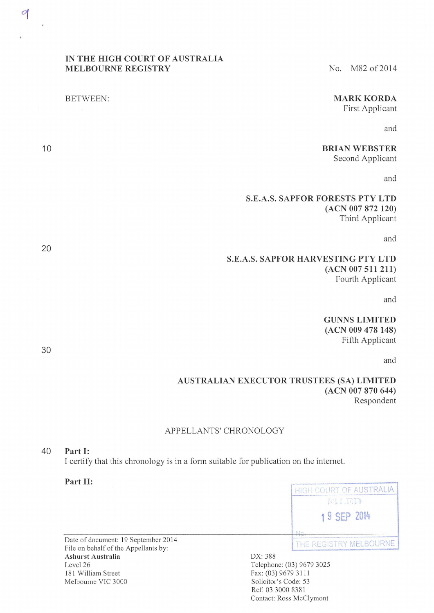## IN THE HIGH COURT OF AUSTRALIA MELBOURNE REGISTRY No. M82 of 2014

BETWEEN: MARK KORDA

First Applicant

and

BRIAN WEBSTER

Second Applicant

and

## S.E.A.S. SAPFOR FORESTS PTY LTD (ACN 007 872 120) Third Applicant

and

### S.E.A.S. SAPFOR HARVESTING PTY LTD (ACN 007 511 211) Fourth Applicant

and

# GUNNS LIMITED (ACN 009 478 148) Fifth Applicant

and

## AUSTRALIAN EXECUTOR TRUSTEES (SA) LIMITED (ACN 007 870 644) Respondent

Contact: Ross McClymont

### APPELLANTS' CHRONOLOGY

#### 40 Part I:

I certify that this chronology is in a form suitable for publication on the internet.

### Part II:

| Part II:                                                              | The contract of the contract of the contract of the contract of the contract of the contract of the contract of<br>HIGH COURT OF AUSTRALIA<br><b>FILICD</b><br>19 SEP 2014 |  |
|-----------------------------------------------------------------------|----------------------------------------------------------------------------------------------------------------------------------------------------------------------------|--|
| Date of document: 19 September 2014                                   | N <sub>1</sub><br>T T U<br>THE REGISTRY MELBOURNE                                                                                                                          |  |
| File on behalf of the Appellants by:<br>Ashurst Australia<br>Level 26 | DX: 388<br>Telephone: (03) 9679 3025                                                                                                                                       |  |
| 181 William Street<br>Melbourne VIC 3000                              | Fax: (03) 9679 3111<br>Solicitor's Code: 53<br>Ref: 03 3000 8381                                                                                                           |  |

10

30

20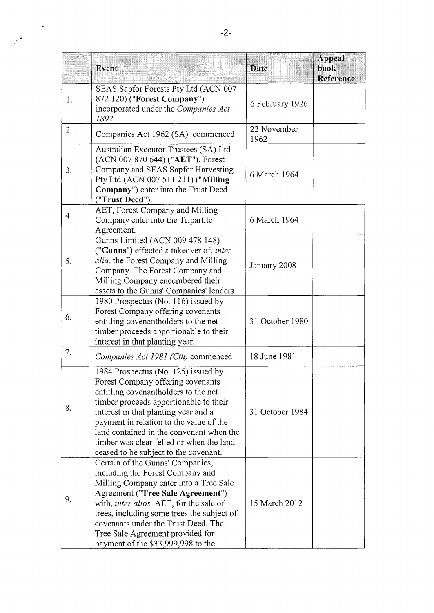|    | Event                                                                                                                                                                                                                                                                                                                                                                          | <b>Date</b>         | Appeal<br>book<br>Reference |
|----|--------------------------------------------------------------------------------------------------------------------------------------------------------------------------------------------------------------------------------------------------------------------------------------------------------------------------------------------------------------------------------|---------------------|-----------------------------|
| 1. | SEAS Sapfor Forests Pty Ltd (ACN 007<br>872 120) ("Forest Company")<br>incorporated under the Companies Act<br>1892                                                                                                                                                                                                                                                            | 6 February 1926     |                             |
| 2. | Companies Act 1962 (SA) commenced                                                                                                                                                                                                                                                                                                                                              | 22 November<br>1962 |                             |
| 3. | Australian Executor Trustees (SA) Ltd<br>(ACN 007 870 644) ("AET"), Forest<br>Company and SEAS Sapfor Harvesting<br>Pty Ltd (ACN 007 511 211) ("Milling<br>Company") enter into the Trust Deed<br>("Trust Deed").                                                                                                                                                              | 6 March 1964        |                             |
| 4. | AET, Forest Company and Milling<br>Company enter into the Tripartite<br>Agreement.                                                                                                                                                                                                                                                                                             | 6 March 1964        |                             |
| 5. | Gunns Limited (ACN 009 478 148)<br>("Gunns") effected a takeover of, inter<br>alia, the Forest Company and Milling<br>Company. The Forest Company and<br>Milling Company encumbered their<br>assets to the Gunns' Companies' lenders.                                                                                                                                          | January 2008        |                             |
| 6. | 1980 Prospectus (No. 116) issued by<br>Forest Company offering covenants<br>entitling covenantholders to the net<br>timber proceeds apportionable to their<br>interest in that planting year.                                                                                                                                                                                  | 31 October 1980     |                             |
| 7. | Companies Act 1981 (Cth) commenced                                                                                                                                                                                                                                                                                                                                             | 18 June 1981        |                             |
| 8. | 1984 Prospectus (No. 125) issued by<br>Forest Company offering covenants<br>entitling covenantholders to the net<br>timber proceeds apportionable to their<br>interest in that planting year and a<br>payment in relation to the value of the<br>land contained in the convenant when the<br>timber was clear felled or when the land<br>ceased to be subject to the covenant. | 31 October 1984     |                             |
| 9. | Certain of the Gunns' Companies,<br>including the Forest Company and<br>Milling Company enter into a Tree Sale<br>Agreement ("Tree Sale Agreement")<br>with, <i>inter alios</i> , AET, for the sale of<br>trees, including some trees the subject of<br>covenants under the Trust Deed. The<br>Tree Sale Agreement provided for<br>payment of the \$33,999,998 to the          | 15 March 2012       |                             |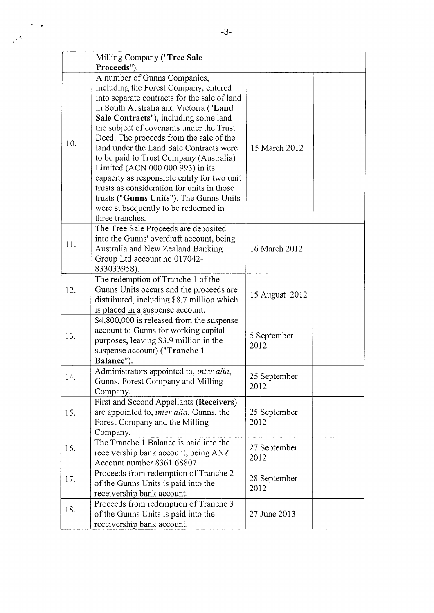|     | Milling Company ("Tree Sale<br>Proceeds").                                                                                                                                                                                                                                                                                                                                                                                                                                                                                                                                                                                  |                      |  |
|-----|-----------------------------------------------------------------------------------------------------------------------------------------------------------------------------------------------------------------------------------------------------------------------------------------------------------------------------------------------------------------------------------------------------------------------------------------------------------------------------------------------------------------------------------------------------------------------------------------------------------------------------|----------------------|--|
| 10. | A number of Gunns Companies,<br>including the Forest Company, entered<br>into separate contracts for the sale of land<br>in South Australia and Victoria ("Land<br>Sale Contracts"), including some land<br>the subject of covenants under the Trust<br>Deed. The proceeds from the sale of the<br>land under the Land Sale Contracts were<br>to be paid to Trust Company (Australia)<br>Limited (ACN 000 000 993) in its<br>capacity as responsible entity for two unit<br>trusts as consideration for units in those<br>trusts ("Gunns Units"). The Gunns Units<br>were subsequently to be redeemed in<br>three tranches. | 15 March 2012        |  |
| 11. | The Tree Sale Proceeds are deposited<br>into the Gunns' overdraft account, being<br>Australia and New Zealand Banking<br>Group Ltd account no 017042-<br>833033958).                                                                                                                                                                                                                                                                                                                                                                                                                                                        | 16 March 2012        |  |
| 12. | The redemption of Tranche 1 of the<br>Gunns Units occurs and the proceeds are<br>distributed, including \$8.7 million which<br>is placed in a suspense account.                                                                                                                                                                                                                                                                                                                                                                                                                                                             | 15 August 2012       |  |
| 13. | \$4,800,000 is released from the suspense<br>account to Gunns for working capital<br>purposes, leaving \$3.9 million in the<br>suspense account) ("Tranche 1<br>Balance").                                                                                                                                                                                                                                                                                                                                                                                                                                                  | 5 September<br>2012  |  |
| 14. | Administrators appointed to, inter alia,<br>Gunns, Forest Company and Milling<br>Company.                                                                                                                                                                                                                                                                                                                                                                                                                                                                                                                                   | 25 September<br>2012 |  |
| 15. | First and Second Appellants (Receivers)<br>are appointed to, <i>inter alia</i> , Gunns, the<br>Forest Company and the Milling<br>Company.                                                                                                                                                                                                                                                                                                                                                                                                                                                                                   | 25 September<br>2012 |  |
| 16. | The Tranche 1 Balance is paid into the<br>receivership bank account, being ANZ<br>Account number 8361 68807.                                                                                                                                                                                                                                                                                                                                                                                                                                                                                                                | 27 September<br>2012 |  |
| 17. | Proceeds from redemption of Tranche 2<br>of the Gunns Units is paid into the<br>receivership bank account.                                                                                                                                                                                                                                                                                                                                                                                                                                                                                                                  | 28 September<br>2012 |  |
| 18. | Proceeds from redemption of Tranche 3<br>of the Gunns Units is paid into the<br>receivership bank account.                                                                                                                                                                                                                                                                                                                                                                                                                                                                                                                  | 27 June 2013         |  |

 $\mathcal{L}^{\text{max}}_{\text{max}}$ 

*'.(-.* 

 $\sim$   $\sim$